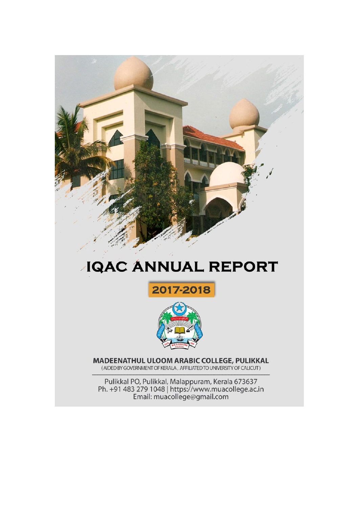

# **JQAC ANNUAL REPORT**





MADEENATHUL ULOOM ARABIC COLLEGE, PULIKKAL (AIDED BY GOVERNMENT OF KERALA, AFFILIATED TO UNIVERSITY OF CALICUT)

Pulikkal PO, Pulikkal, Malappuram, Kerala 673637<br>Ph. +91 483 279 1048 | https://www.muacollege.ac.in<br>Email: muacollege@gmail.com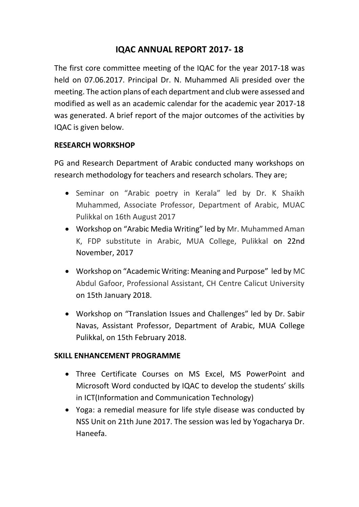# **IQAC ANNUAL REPORT 2017- 18**

The first core committee meeting of the IQAC for the year 2017-18 was held on 07.06.2017. Principal Dr. N. Muhammed Ali presided over the meeting. The action plans of each department and club were assessed and modified as well as an academic calendar for the academic year 2017-18 was generated. A brief report of the major outcomes of the activities by IQAC is given below.

## **RESEARCH WORKSHOP**

PG and Research Department of Arabic conducted many workshops on research methodology for teachers and research scholars. They are;

- Seminar on "Arabic poetry in Kerala" led by Dr. K Shaikh Muhammed, Associate Professor, Department of Arabic, MUAC Pulikkal on 16th August 2017
- Workshop on "Arabic Media Writing" led by Mr. Muhammed Aman K, FDP substitute in Arabic, MUA College, Pulikkal on 22nd November, 2017
- Workshop on "Academic Writing: Meaning and Purpose" led by MC Abdul Gafoor, Professional Assistant, CH Centre Calicut University on 15th January 2018.
- Workshop on "Translation Issues and Challenges" led by Dr. Sabir Navas, Assistant Professor, Department of Arabic, MUA College Pulikkal, on 15th February 2018.

## **SKILL ENHANCEMENT PROGRAMME**

- Three Certificate Courses on MS Excel, MS PowerPoint and Microsoft Word conducted by IQAC to develop the students' skills in ICT(Information and Communication Technology)
- Yoga: a remedial measure for life style disease was conducted by NSS Unit on 21th June 2017. The session was led by Yogacharya Dr. Haneefa.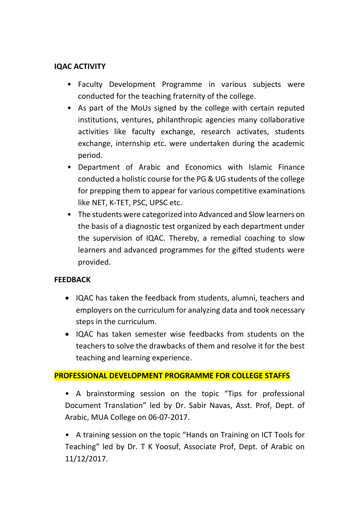# **IQAC ACTIVITY**

- Faculty Development Programme in various subjects were conducted for the teaching fraternity of the college.
- As part of the MoUs signed by the college with certain reputed institutions, ventures, philanthropic agencies many collaborative activities like faculty exchange, research activates, students exchange, internship etc. were undertaken during the academic period.
- Department of Arabic and Economics with Islamic Finance conducted a holistic course for the PG & UG students of the college for prepping them to appear for various competitive examinations like NET, K-TET, PSC, UPSC etc.
- The students were categorized into Advanced and Slow learners on the basis of a diagnostic test organized by each department under the supervision of IQAC. Thereby, a remedial coaching to slow learners and advanced programmes for the gifted students were provided.

## **FEEDBACK**

- IQAC has taken the feedback from students, alumni, teachers and employers on the curriculum for analyzing data and took necessary steps in the curriculum.
- IQAC has taken semester wise feedbacks from students on the teachers to solve the drawbacks of them and resolve it for the best teaching and learning experience.

## **PROFESSIONAL DEVELOPMENT PROGRAMME FOR COLLEGE STAFFS**

• A brainstorming session on the topic "Tips for professional Document Translation" led by Dr. Sabir Navas, Asst. Prof, Dept. of Arabic, MUA College on 06-07-2017.

• A training session on the topic "Hands on Training on ICT Tools for Teaching" led by Dr. T K Yoosuf, Associate Prof, Dept. of Arabic on 11/12/2017.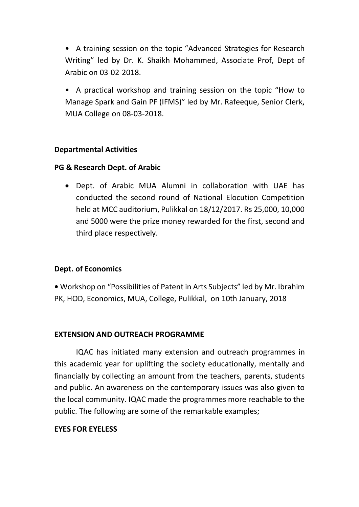• A training session on the topic "Advanced Strategies for Research Writing" led by Dr. K. Shaikh Mohammed, Associate Prof, Dept of Arabic on 03-02-2018.

• A practical workshop and training session on the topic "How to Manage Spark and Gain PF (IFMS)" led by Mr. Rafeeque, Senior Clerk, MUA College on 08-03-2018.

#### **Departmental Activities**

## **PG & Research Dept. of Arabic**

 Dept. of Arabic MUA Alumni in collaboration with UAE has conducted the second round of National Elocution Competition held at MCC auditorium, Pulikkal on 18/12/2017. Rs 25,000, 10,000 and 5000 were the prize money rewarded for the first, second and third place respectively.

## **Dept. of Economics**

**•** Workshop on "Possibilities of Patent in Arts Subjects" led by Mr. Ibrahim PK, HOD, Economics, MUA, College, Pulikkal, on 10th January, 2018

#### **EXTENSION AND OUTREACH PROGRAMME**

IQAC has initiated many extension and outreach programmes in this academic year for uplifting the society educationally, mentally and financially by collecting an amount from the teachers, parents, students and public. An awareness on the contemporary issues was also given to the local community. IQAC made the programmes more reachable to the public. The following are some of the remarkable examples;

## **EYES FOR EYELESS**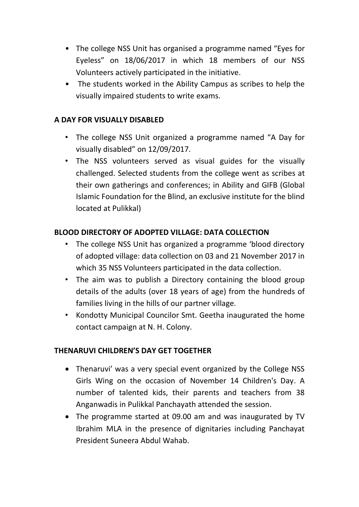- The college NSS Unit has organised a programme named "Eyes for Eyeless" on 18/06/2017 in which 18 members of our NSS Volunteers actively participated in the initiative.
- The students worked in the Ability Campus as scribes to help the visually impaired students to write exams.

# **A DAY FOR VISUALLY DISABLED**

- The college NSS Unit organized a programme named "A Day for visually disabled" on 12/09/2017.
- The NSS volunteers served as visual guides for the visually challenged. Selected students from the college went as scribes at their own gatherings and conferences; in Ability and GIFB (Global Islamic Foundation for the Blind, an exclusive institute for the blind located at Pulikkal)

## **BLOOD DIRECTORY OF ADOPTED VILLAGE: DATA COLLECTION**

- The college NSS Unit has organized a programme 'blood directory of adopted village: data collection on 03 and 21 November 2017 in which 35 NSS Volunteers participated in the data collection.
- The aim was to publish a Directory containing the blood group details of the adults (over 18 years of age) from the hundreds of families living in the hills of our partner village.
- Kondotty Municipal Councilor Smt. Geetha inaugurated the home contact campaign at N. H. Colony.

## **THENARUVI CHILDREN'S DAY GET TOGETHER**

- Thenaruvi' was a very special event organized by the College NSS Girls Wing on the occasion of November 14 Children's Day. A number of talented kids, their parents and teachers from 38 Anganwadis in Pulikkal Panchayath attended the session.
- The programme started at 09.00 am and was inaugurated by TV Ibrahim MLA in the presence of dignitaries including Panchayat President Suneera Abdul Wahab.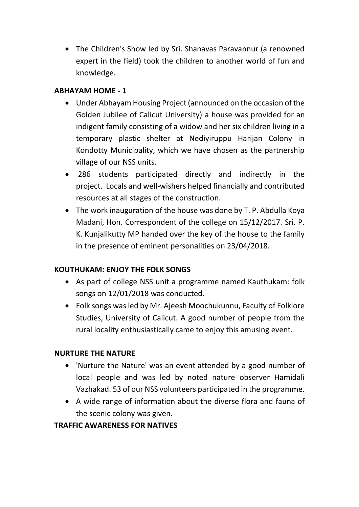• The Children's Show led by Sri. Shanavas Paravannur (a renowned expert in the field) took the children to another world of fun and knowledge.

# **ABHAYAM HOME - 1**

- Under Abhayam Housing Project (announced on the occasion of the Golden Jubilee of Calicut University) a house was provided for an indigent family consisting of a widow and her six children living in a temporary plastic shelter at Nediyiruppu Harijan Colony in Kondotty Municipality, which we have chosen as the partnership village of our NSS units.
- 286 students participated directly and indirectly in the project. Locals and well-wishers helped financially and contributed resources at all stages of the construction.
- The work inauguration of the house was done by T. P. Abdulla Koya Madani, Hon. Correspondent of the college on 15/12/2017. Sri. P. K. Kunjalikutty MP handed over the key of the house to the family in the presence of eminent personalities on 23/04/2018.

# **KOUTHUKAM: ENJOY THE FOLK SONGS**

- As part of college NSS unit a programme named Kauthukam: folk songs on 12/01/2018 was conducted.
- Folk songs was led by Mr. Ajeesh Moochukunnu, Faculty of Folklore Studies, University of Calicut. A good number of people from the rural locality enthusiastically came to enjoy this amusing event.

## **NURTURE THE NATURE**

- 'Nurture the Nature' was an event attended by a good number of local people and was led by noted nature observer Hamidali Vazhakad. 53 of our NSS volunteers participated in the programme.
- A wide range of information about the diverse flora and fauna of the scenic colony was given.

## **TRAFFIC AWARENESS FOR NATIVES**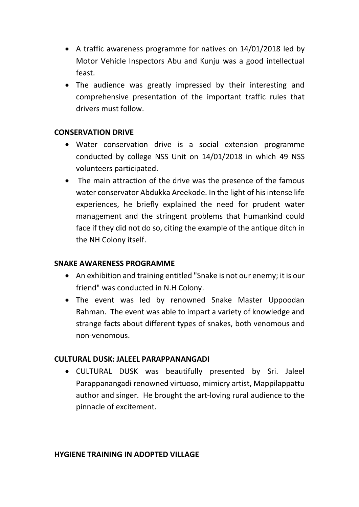- A traffic awareness programme for natives on 14/01/2018 led by Motor Vehicle Inspectors Abu and Kunju was a good intellectual feast.
- The audience was greatly impressed by their interesting and comprehensive presentation of the important traffic rules that drivers must follow.

#### **CONSERVATION DRIVE**

- Water conservation drive is a social extension programme conducted by college NSS Unit on 14/01/2018 in which 49 NSS volunteers participated.
- The main attraction of the drive was the presence of the famous water conservator Abdukka Areekode. In the light of his intense life experiences, he briefly explained the need for prudent water management and the stringent problems that humankind could face if they did not do so, citing the example of the antique ditch in the NH Colony itself.

#### **SNAKE AWARENESS PROGRAMME**

- An exhibition and training entitled "Snake is not our enemy; it is our friend" was conducted in N.H Colony.
- The event was led by renowned Snake Master Uppoodan Rahman. The event was able to impart a variety of knowledge and strange facts about different types of snakes, both venomous and non-venomous.

#### **CULTURAL DUSK: JALEEL PARAPPANANGADI**

 CULTURAL DUSK was beautifully presented by Sri. Jaleel Parappanangadi renowned virtuoso, mimicry artist, Mappilappattu author and singer. He brought the art-loving rural audience to the pinnacle of excitement.

#### **HYGIENE TRAINING IN ADOPTED VILLAGE**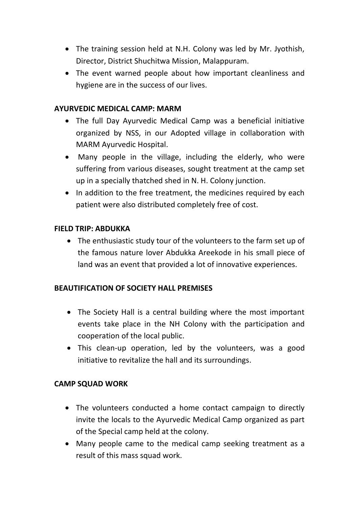- The training session held at N.H. Colony was led by Mr. Jyothish, Director, District Shuchitwa Mission, Malappuram.
- The event warned people about how important cleanliness and hygiene are in the success of our lives.

#### **AYURVEDIC MEDICAL CAMP: MARM**

- The full Day Ayurvedic Medical Camp was a beneficial initiative organized by NSS, in our Adopted village in collaboration with MARM Ayurvedic Hospital.
- Many people in the village, including the elderly, who were suffering from various diseases, sought treatment at the camp set up in a specially thatched shed in N. H. Colony junction.
- In addition to the free treatment, the medicines required by each patient were also distributed completely free of cost.

#### **FIELD TRIP: ABDUKKA**

 The enthusiastic study tour of the volunteers to the farm set up of the famous nature lover Abdukka Areekode in his small piece of land was an event that provided a lot of innovative experiences.

## **BEAUTIFICATION OF SOCIETY HALL PREMISES**

- The Society Hall is a central building where the most important events take place in the NH Colony with the participation and cooperation of the local public.
- This clean-up operation, led by the volunteers, was a good initiative to revitalize the hall and its surroundings.

#### **CAMP SQUAD WORK**

- The volunteers conducted a home contact campaign to directly invite the locals to the Ayurvedic Medical Camp organized as part of the Special camp held at the colony.
- Many people came to the medical camp seeking treatment as a result of this mass squad work.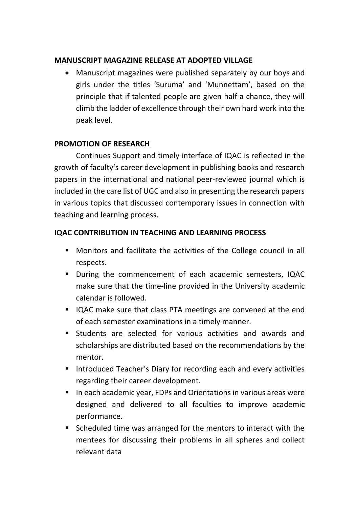# **MANUSCRIPT MAGAZINE RELEASE AT ADOPTED VILLAGE**

 Manuscript magazines were published separately by our boys and girls under the titles 'Suruma' and 'Munnettam', based on the principle that if talented people are given half a chance, they will climb the ladder of excellence through their own hard work into the peak level.

## **PROMOTION OF RESEARCH**

Continues Support and timely interface of IQAC is reflected in the growth of faculty's career development in publishing books and research papers in the international and national peer-reviewed journal which is included in the care list of UGC and also in presenting the research papers in various topics that discussed contemporary issues in connection with teaching and learning process.

## **IQAC CONTRIBUTION IN TEACHING AND LEARNING PROCESS**

- Monitors and facilitate the activities of the College council in all respects.
- **During the commencement of each academic semesters, IQAC** make sure that the time-line provided in the University academic calendar is followed.
- IQAC make sure that class PTA meetings are convened at the end of each semester examinations in a timely manner.
- Students are selected for various activities and awards and scholarships are distributed based on the recommendations by the mentor.
- **Introduced Teacher's Diary for recording each and every activities** regarding their career development.
- In each academic year, FDPs and Orientations in various areas were designed and delivered to all faculties to improve academic performance.
- Scheduled time was arranged for the mentors to interact with the mentees for discussing their problems in all spheres and collect relevant data